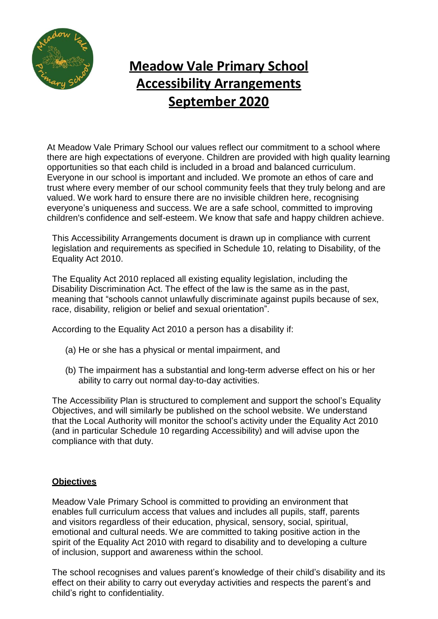

## **Meadow Vale Primary School Accessibility Arrangements September 2020**

At Meadow Vale Primary School our values reflect our commitment to a school where there are high expectations of everyone. Children are provided with high quality learning opportunities so that each child is included in a broad and balanced curriculum. Everyone in our school is important and included. We promote an ethos of care and trust where every member of our school community feels that they truly belong and are valued. We work hard to ensure there are no invisible children here, recognising everyone's uniqueness and success. We are a safe school, committed to improving children's confidence and self-esteem. We know that safe and happy children achieve.

This Accessibility Arrangements document is drawn up in compliance with current legislation and requirements as specified in Schedule 10, relating to Disability, of the Equality Act 2010.

The Equality Act 2010 replaced all existing equality legislation, including the Disability Discrimination Act. The effect of the law is the same as in the past, meaning that "schools cannot unlawfully discriminate against pupils because of sex, race, disability, religion or belief and sexual orientation".

According to the Equality Act 2010 a person has a disability if:

- (a) He or she has a physical or mental impairment, and
- (b) The impairment has a substantial and long-term adverse effect on his or her ability to carry out normal day-to-day activities.

The Accessibility Plan is structured to complement and support the school's Equality Objectives, and will similarly be published on the school website. We understand that the Local Authority will monitor the school's activity under the Equality Act 2010 (and in particular Schedule 10 regarding Accessibility) and will advise upon the compliance with that duty.

## **Objectives**

Meadow Vale Primary School is committed to providing an environment that enables full curriculum access that values and includes all pupils, staff, parents and visitors regardless of their education, physical, sensory, social, spiritual, emotional and cultural needs. We are committed to taking positive action in the spirit of the Equality Act 2010 with regard to disability and to developing a culture of inclusion, support and awareness within the school.

The school recognises and values parent's knowledge of their child's disability and its effect on their ability to carry out everyday activities and respects the parent's and child's right to confidentiality.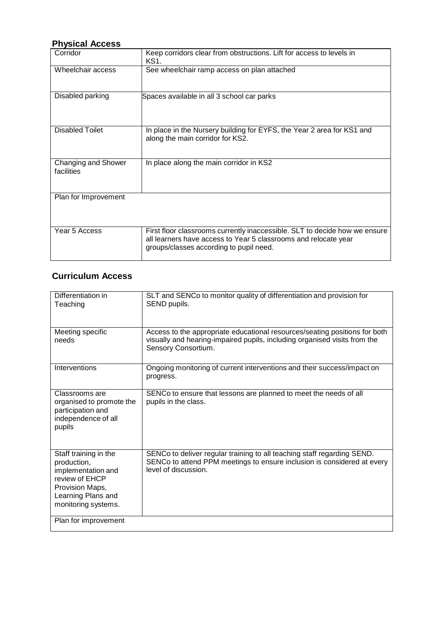## **Physical Access**

| Corridor                          | Keep corridors clear from obstructions. Lift for access to levels in<br>KS1.                                                                                                             |
|-----------------------------------|------------------------------------------------------------------------------------------------------------------------------------------------------------------------------------------|
| Wheelchair access                 | See wheelchair ramp access on plan attached                                                                                                                                              |
| Disabled parking                  | Spaces available in all 3 school car parks                                                                                                                                               |
| <b>Disabled Toilet</b>            | In place in the Nursery building for EYFS, the Year 2 area for KS1 and<br>along the main corridor for KS2.                                                                               |
| Changing and Shower<br>facilities | In place along the main corridor in KS2                                                                                                                                                  |
| Plan for Improvement              |                                                                                                                                                                                          |
| Year 5 Access                     | First floor classrooms currently inaccessible. SLT to decide how we ensure<br>all learners have access to Year 5 classrooms and relocate year<br>groups/classes according to pupil need. |

## **Curriculum Access**

| Differentiation in<br>Teaching                                                                                                               | SLT and SENCo to monitor quality of differentiation and provision for<br>SEND pupils.                                                                                          |
|----------------------------------------------------------------------------------------------------------------------------------------------|--------------------------------------------------------------------------------------------------------------------------------------------------------------------------------|
| Meeting specific<br>needs                                                                                                                    | Access to the appropriate educational resources/seating positions for both<br>visually and hearing-impaired pupils, including organised visits from the<br>Sensory Consortium. |
| Interventions                                                                                                                                | Ongoing monitoring of current interventions and their success/impact on<br>progress.                                                                                           |
| Classrooms are<br>organised to promote the<br>participation and<br>independence of all<br>pupils                                             | SENCo to ensure that lessons are planned to meet the needs of all<br>pupils in the class.                                                                                      |
| Staff training in the<br>production,<br>implementation and<br>review of EHCP<br>Provision Maps,<br>Learning Plans and<br>monitoring systems. | SENCo to deliver regular training to all teaching staff regarding SEND.<br>SENCo to attend PPM meetings to ensure inclusion is considered at every<br>level of discussion.     |
| Plan for improvement                                                                                                                         |                                                                                                                                                                                |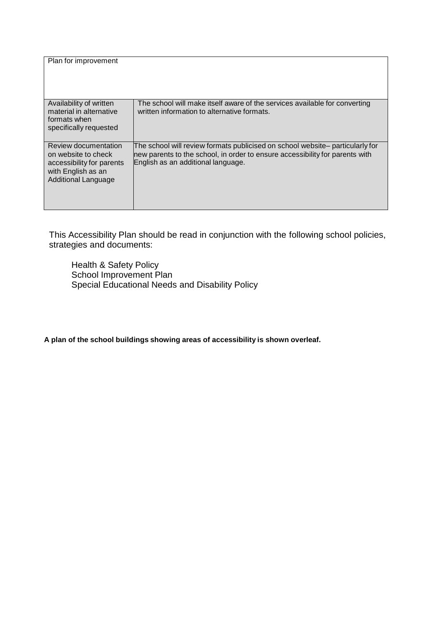| Plan for improvement                                                                                                         |                                                                                                                                                                                                     |
|------------------------------------------------------------------------------------------------------------------------------|-----------------------------------------------------------------------------------------------------------------------------------------------------------------------------------------------------|
| Availability of written<br>material in alternative<br>formats when<br>specifically requested                                 | The school will make itself aware of the services available for converting<br>written information to alternative formats.                                                                           |
| Review documentation<br>on website to check<br>accessibility for parents<br>with English as an<br><b>Additional Language</b> | The school will review formats publicised on school website– particularly for<br>new parents to the school, in order to ensure accessibility for parents with<br>English as an additional language. |

This Accessibility Plan should be read in conjunction with the following school policies, strategies and documents:

 Health & Safety Policy School Improvement Plan Special Educational Needs and Disability Policy

**A plan of the school buildings showing areas of accessibility is shown overleaf.**